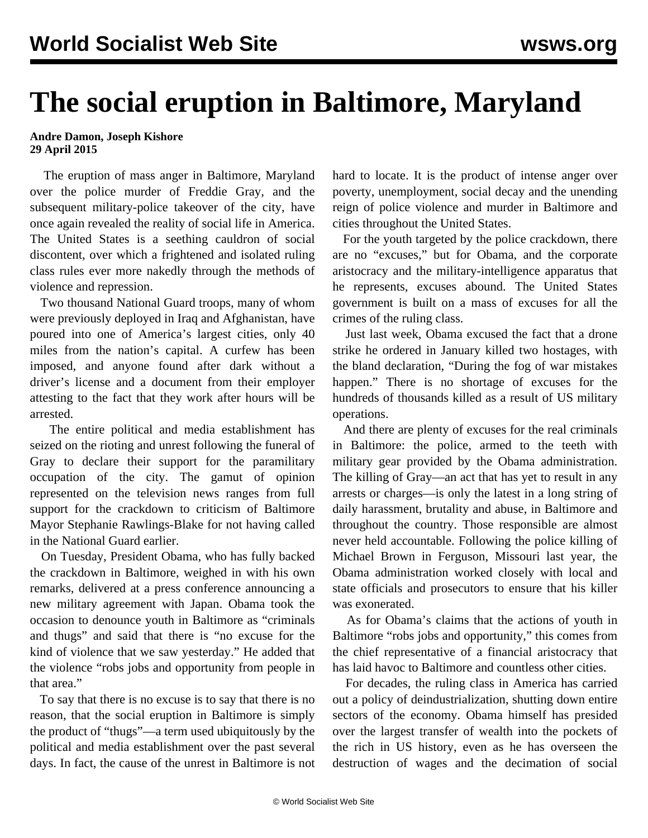## **The social eruption in Baltimore, Maryland**

## **Andre Damon, Joseph Kishore 29 April 2015**

 The eruption of mass anger in Baltimore, Maryland over the police murder of Freddie Gray, and the subsequent military-police takeover of the city, have once again revealed the reality of social life in America. The United States is a seething cauldron of social discontent, over which a frightened and isolated ruling class rules ever more nakedly through the methods of violence and repression.

 Two thousand National Guard troops, many of whom were previously deployed in Iraq and Afghanistan, have poured into one of America's largest cities, only 40 miles from the nation's capital. A curfew has been imposed, and anyone found after dark without a driver's license and a document from their employer attesting to the fact that they work after hours will be arrested.

 The entire political and media establishment has seized on the rioting and unrest following the funeral of Gray to declare their support for the paramilitary occupation of the city. The gamut of opinion represented on the television news ranges from full support for the crackdown to criticism of Baltimore Mayor Stephanie Rawlings-Blake for not having called in the National Guard earlier.

 On Tuesday, President Obama, who has fully backed the crackdown in Baltimore, weighed in with his own remarks, delivered at a press conference announcing a new military agreement with Japan. Obama took the occasion to denounce youth in Baltimore as "criminals and thugs" and said that there is "no excuse for the kind of violence that we saw yesterday." He added that the violence "robs jobs and opportunity from people in that area."

 To say that there is no excuse is to say that there is no reason, that the social eruption in Baltimore is simply the product of "thugs"—a term used ubiquitously by the political and media establishment over the past several days. In fact, the cause of the unrest in Baltimore is not hard to locate. It is the product of intense anger over poverty, unemployment, social decay and the unending reign of police violence and murder in Baltimore and cities throughout the United States.

 For the youth targeted by the police crackdown, there are no "excuses," but for Obama, and the corporate aristocracy and the military-intelligence apparatus that he represents, excuses abound. The United States government is built on a mass of excuses for all the crimes of the ruling class.

 Just last week, Obama excused the fact that a drone strike he ordered in January killed two hostages, with the bland declaration, "During the fog of war mistakes happen." There is no shortage of excuses for the hundreds of thousands killed as a result of US military operations.

 And there are plenty of excuses for the real criminals in Baltimore: the police, armed to the teeth with military gear provided by the Obama administration. The killing of Gray—an act that has yet to result in any arrests or charges—is only the latest in a long string of daily harassment, brutality and abuse, in Baltimore and throughout the country. Those responsible are almost never held accountable. Following the police killing of Michael Brown in Ferguson, Missouri last year, the Obama administration worked closely with local and state officials and prosecutors to ensure that his killer was exonerated.

 As for Obama's claims that the actions of youth in Baltimore "robs jobs and opportunity," this comes from the chief representative of a financial aristocracy that has laid havoc to Baltimore and countless other cities.

 For decades, the ruling class in America has carried out a policy of deindustrialization, shutting down entire sectors of the economy. Obama himself has presided over the largest transfer of wealth into the pockets of the rich in US history, even as he has overseen the destruction of wages and the decimation of social